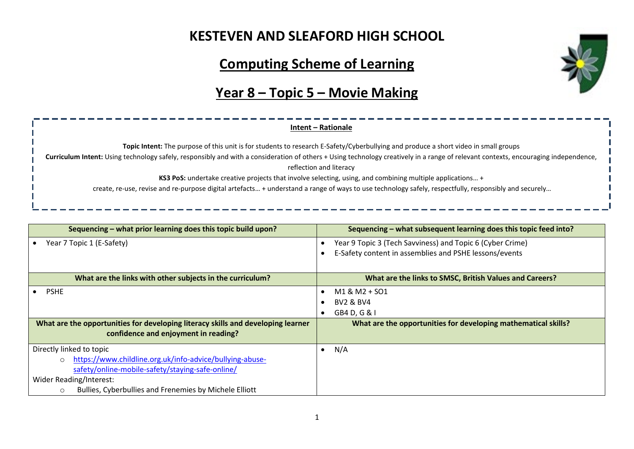## **KESTEVEN AND SLEAFORD HIGH SCHOOL**

## **Computing Scheme of Learning**

## **Year 8 – Topic 5 – Movie Making**

### **Intent – Rationale**

**Topic Intent:** The purpose of this unit is for students to research E-Safety/Cyberbullying and produce a short video in small groups

**Curriculum Intent:** Using technology safely, responsibly and with a consideration of others + Using technology creatively in a range of relevant contexts, encouraging independence,

reflection and literacy

**KS3 PoS:** undertake creative projects that involve selecting, using, and combining multiple applications… +

create, re-use, revise and re-purpose digital artefacts… + understand a range of ways to use technology safely, respectfully, responsibly and securely…

| Sequencing – what prior learning does this topic build upon?                     | Sequencing – what subsequent learning does this topic feed into? |
|----------------------------------------------------------------------------------|------------------------------------------------------------------|
| Year 7 Topic 1 (E-Safety)                                                        | Year 9 Topic 3 (Tech Savviness) and Topic 6 (Cyber Crime)        |
|                                                                                  | E-Safety content in assemblies and PSHE lessons/events           |
|                                                                                  |                                                                  |
| What are the links with other subjects in the curriculum?                        | What are the links to SMSC, British Values and Careers?          |
| <b>PSHE</b>                                                                      | M1 & M2 + SO1                                                    |
|                                                                                  | <b>BV2 &amp; BV4</b>                                             |
|                                                                                  | GB4 D, G & I                                                     |
| What are the opportunities for developing literacy skills and developing learner | What are the opportunities for developing mathematical skills?   |
| confidence and enjoyment in reading?                                             |                                                                  |
| Directly linked to topic                                                         | N/A<br>$\bullet$                                                 |
| https://www.childline.org.uk/info-advice/bullying-abuse-<br>$\circ$              |                                                                  |
| safety/online-mobile-safety/staying-safe-online/                                 |                                                                  |
| Wider Reading/Interest:                                                          |                                                                  |
| Bullies, Cyberbullies and Frenemies by Michele Elliott<br>$\circ$                |                                                                  |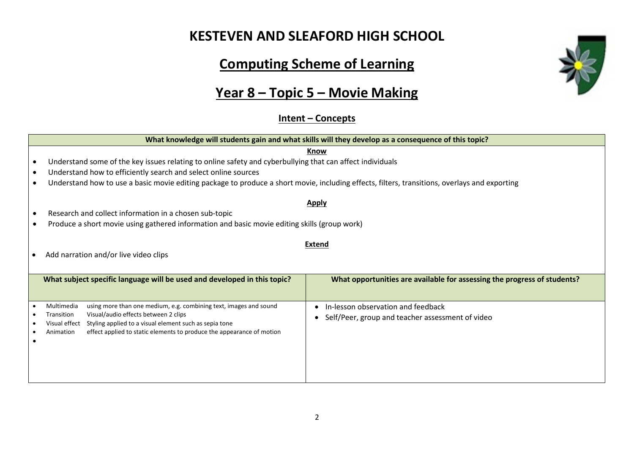## **KESTEVEN AND SLEAFORD HIGH SCHOOL**

# **Computing Scheme of Learning**

# **Year 8 – Topic 5 – Movie Making**

### **Intent – Concepts**